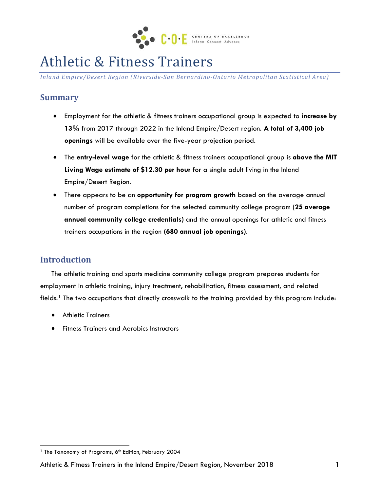

# Athletic & Fitness Trainers

*Inland Empire/Desert Region (Riverside-San Bernardino-Ontario Metropolitan Statistical Area)*

## **Summary**

- Employment for the athletic & fitness trainers occupational group is expected to **increase by 13%** from 2017 through 2022 in the Inland Empire/Desert region. **A total of 3,400 job openings** will be available over the five-year projection period.
- The **entry-level wage** for the athletic & fitness trainers occupational group is **above the MIT Living Wage estimate of \$12.30 per hour** for a single adult living in the Inland Empire/Desert Region.
- There appears to be an **opportunity for program growth** based on the average annual number of program completions for the selected community college program (**25 average annual community college credentials)** and the annual openings for athletic and fitness trainers occupations in the region **(680 annual job openings)**.

# **Introduction**

 $\overline{a}$ 

The athletic training and sports medicine community college program prepares students for employment in athletic training, injury treatment, rehabilitation, fitness assessment, and related fields.[1](#page-0-0) The two occupations that directly crosswalk to the training provided by this program include:

- Athletic Trainers
- Fitness Trainers and Aerobics Instructors

<span id="page-0-0"></span><sup>&</sup>lt;sup>1</sup> The Taxonomy of Programs, 6<sup>th</sup> Edition, February 2004

Athletic & Fitness Trainers in the Inland Empire/Desert Region, November 2018 1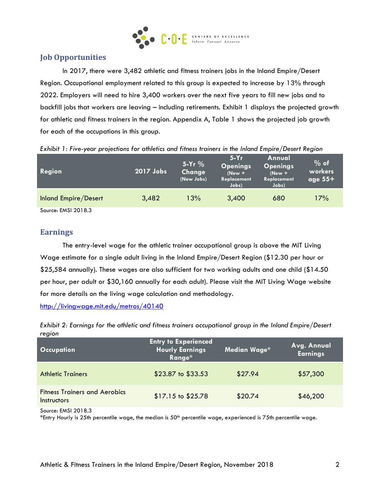

### **Job Opportunities**

In 2017, there were 3,482 athletic and fitness trainers jobs in the Inland Empire/Desert Region. Occupational employment related to this group is expected to increase by 13% through 2022. Employers will need to hire 3,400 workers over the next five years to fill new jobs and to backfill jobs that workers are leaving – including retirements. Exhibit 1 displays the projected growth for athletic and fitness trainers in the region. Appendix A, Table 1 shows the projected job growth for each of the occupations in this group.

| Region               | $\overline{{\bf 12017}}$ Jobs $^{\sf t}$ | $5-Yr$ %<br>Change<br>(New Jobs) | $5-Yr$<br><b>Openings</b><br>$(New +$<br>Replacement<br>Jobs) | Annual<br><b>Openings</b><br>$New +$<br>Replacement<br>Jobs) | $%$ of<br>workers<br>age $55+$ |
|----------------------|------------------------------------------|----------------------------------|---------------------------------------------------------------|--------------------------------------------------------------|--------------------------------|
| Inland Empire/Desert | 3,482                                    | 13%                              | 3,400                                                         | 680                                                          | 17%                            |
| Source: EMSI 2018.3  |                                          |                                  |                                                               |                                                              |                                |

*Exhibit 1: Five-year projections for athletics and fitness trainers in the Inland Empire/Desert Region*

#### **Earnings**

The entry-level wage for the athletic trainer occupational group is above the MIT Living Wage estimate for a single adult living in the Inland Empire/Desert Region (\$12.30 per hour or \$25,584 annually). These wages are also sufficient for two working adults and one child (\$14.50 per hour, per adult or \$30,160 annually for each adult). Please visit the MIT Living Wage website for more details on the living wage calculation and methodology.

<http://livingwage.mit.edu/metros/40140>

*Exhibit 2: Earnings for the athletic and fitness trainers occupational group in the Inland Empire/Desert region*

| <b>Occupation</b>                                          | <b>Entry to Experienced</b><br>Hourly Earnings<br>Range* | Median Wage* | Avg. Annual<br><b>Earnings</b> |
|------------------------------------------------------------|----------------------------------------------------------|--------------|--------------------------------|
| <b>Athletic Trainers</b>                                   | \$23.87 to \$33.53                                       | \$27.94      | \$57,300                       |
| <b>Fitness Trainers and Aerobics</b><br><b>Instructors</b> | \$17.15 to \$25.78                                       | \$20.74      | \$46,200                       |

Source: EMSI 2018.3

\*Entry Hourly is 25th percentile wage, the median is  $50<sup>th</sup>$  percentile wage, experienced is 75th percentile wage.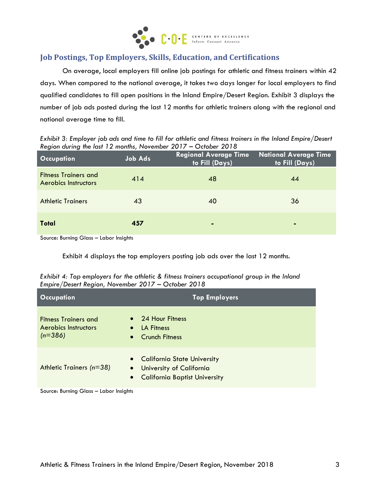

#### **Job Postings, Top Employers, Skills, Education, and Certifications**

On average, local employers fill online job postings for athletic and fitness trainers within 42 days. When compared to the national average, it takes two days longer for local employers to find qualified candidates to fill open positions in the Inland Empire/Desert Region. Exhibit 3 displays the number of job ads posted during the last 12 months for athletic trainers along with the regional and national average time to fill.

*Exhibit 3: Employer job ads and time to fill for athletic and fitness trainers in the Inland Empire/Desert Region during the last 12 months, November 2017 – October 2018*

| <b>Occupation</b>                                          | <b>Job Ads</b> | Regional Average Time<br>to Fill (Days) | <b>National Average Time</b><br>to Fill (Days) |
|------------------------------------------------------------|----------------|-----------------------------------------|------------------------------------------------|
| <b>Fitness Trainers and</b><br><b>Aerobics Instructors</b> | 414            | 48                                      | 44                                             |
| <b>Athletic Trainers</b>                                   | 43             | 40                                      | 36                                             |
| <b>Total</b>                                               | 457            | $\blacksquare$                          | $\blacksquare$                                 |

Source: Burning Glass – Labor Insights

Exhibit 4 displays the top employers posting job ads over the last 12 months.

| Exhibit 4: Top employers for the athletic & fitness trainers occupational group in the Inland |  |
|-----------------------------------------------------------------------------------------------|--|
| Empire/Desert Region, November 2017 - October 2018                                            |  |

| <b>Occupation</b>                                                       | <b>Top Employers</b>                                                                                                        |
|-------------------------------------------------------------------------|-----------------------------------------------------------------------------------------------------------------------------|
| <b>Fitness Trainers and</b><br><b>Aerobics Instructors</b><br>$(n=386)$ | • 24 Hour Fitness<br>LA Fitness<br>$\bullet$<br><b>Crunch Fitness</b><br>$\bullet$                                          |
| Athletic Trainers (n=38)                                                | • California State University<br>University of California<br>$\bullet$<br><b>California Baptist University</b><br>$\bullet$ |

Source: Burning Glass – Labor Insights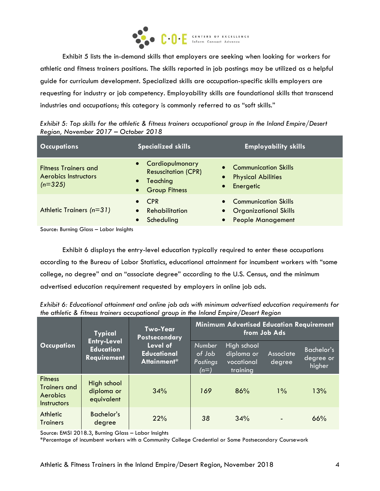

Exhibit 5 lists the in-demand skills that employers are seeking when looking for workers for athletic and fitness trainers positions. The skills reported in job postings may be utilized as a helpful guide for curriculum development. Specialized skills are occupation-specific skills employers are requesting for industry or job competency. Employability skills are foundational skills that transcend industries and occupations; this category is commonly referred to as "soft skills."

|                                      | Exhibit 5: Top skills for the athletic & fitness trainers occupational group in the Inland Empire/Desert |
|--------------------------------------|----------------------------------------------------------------------------------------------------------|
| Region, November 2017 - October 2018 |                                                                                                          |

| <b>Occupations</b>                                                      | <b>Specialized skills</b>                                                                                                                          | <b>Employability skills</b>                                                        |
|-------------------------------------------------------------------------|----------------------------------------------------------------------------------------------------------------------------------------------------|------------------------------------------------------------------------------------|
| <b>Fitness Trainers and</b><br><b>Aerobics Instructors</b><br>$(n=325)$ | Cardiopulmonary<br>$\bullet$<br>$\bullet$<br><b>Resuscitation (CPR)</b><br>$\bullet$<br>Teaching<br>$\bullet$<br><b>Group Fitness</b><br>$\bullet$ | <b>Communication Skills</b><br><b>Physical Abilities</b><br>Energetic<br>$\bullet$ |
| Athletic Trainers $(n=31)$                                              | <b>CPR</b><br>$\bullet$<br>Rehabilitation<br>$\bullet$<br>Scheduling<br>$\bullet$<br>$\bullet$                                                     | • Communication Skills<br>• Organizational Skills<br><b>People Management</b>      |

Source: Burning Glass – Labor Insights

Exhibit 6 displays the entry-level education typically required to enter these occupations according to the Bureau of Labor Statistics, educational attainment for incumbent workers with "some college, no degree" and an "associate degree" according to the U.S. Census, and the minimum advertised education requirement requested by employers in online job ads.

*Exhibit 6: Educational attainment and online job ads with minimum advertised education requirements for the athletic & fitness trainers occupational group in the Inland Empire/Desert Region*

|                                                                                | <b>Typical</b>                                               | <b>Two-Year</b><br><b>Postsecondary</b>       | <b>Minimum Advertised Education Requirement</b><br>from Job Ads |                                                     |                     |                                          |
|--------------------------------------------------------------------------------|--------------------------------------------------------------|-----------------------------------------------|-----------------------------------------------------------------|-----------------------------------------------------|---------------------|------------------------------------------|
| <b>Occupation</b>                                                              | <b>Entry-Level</b><br><b>Education</b><br><b>Requirement</b> | Level of<br><b>Educational</b><br>Attainment* | <b>Number</b><br>of Job<br>Postings<br>$(n=)$                   | High school<br>diploma or<br>vocational<br>training | Associate<br>degree | <b>Bachelor's</b><br>degree or<br>higher |
| <b>Fitness</b><br><b>Trainers and</b><br><b>Aerobics</b><br><b>Instructors</b> | High school<br>diploma or<br>equivalent                      | 34%                                           | 169                                                             | 86%                                                 | $1\%$               | 13%                                      |
| <b>Athletic</b><br><b>Trainers</b>                                             | Bachelor's<br>degree                                         | 22%                                           | 38                                                              | 34%                                                 |                     | 66%                                      |

Source: EMSI 2018.3, Burning Glass – Labor Insights

\*Percentage of incumbent workers with a Community College Credential or Some Postsecondary Coursework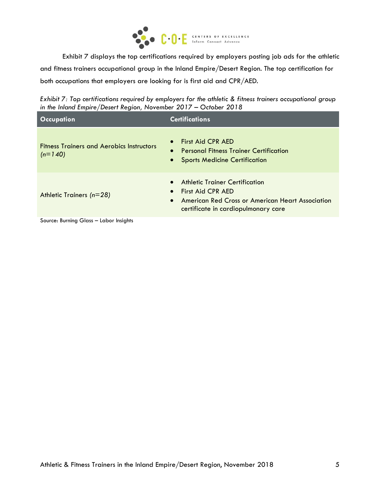

Exhibit 7 displays the top certifications required by employers posting job ads for the athletic and fitness trainers occupational group in the Inland Empire/Desert Region. The top certification for both occupations that employers are looking for is first aid and CPR/AED.

*Exhibit 7: Top certifications required by employers for the athletic & fitness trainers occupational group in the Inland Empire/Desert Region, November 2017 – October 2018*

| <b>Occupation</b>                                             | <b>Certifications</b>                                                                                                                                         |
|---------------------------------------------------------------|---------------------------------------------------------------------------------------------------------------------------------------------------------------|
| <b>Fitness Trainers and Aerobics Instructors</b><br>$(n=140)$ | <b>First Aid CPR AED</b><br><b>Personal Fitness Trainer Certification</b><br>$\bullet$<br>• Sports Medicine Certification                                     |
| Athletic Trainers $(n=28)$                                    | Athletic Trainer Certification<br>• First Aid CPR AED<br>American Red Cross or American Heart Association<br>$\bullet$<br>certificate in cardiopulmonary care |
| Source: Burning Glass - Labor Insights                        |                                                                                                                                                               |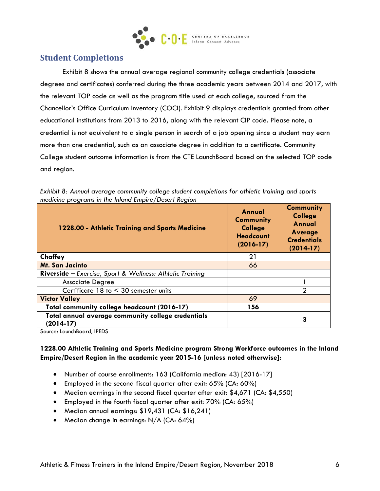

### **Student Completions**

Exhibit 8 shows the annual average regional community college credentials (associate degrees and certificates) conferred during the three academic years between 2014 and 2017, with the relevant TOP code as well as the program title used at each college, sourced from the Chancellor's Office Curriculum Inventory (COCI). Exhibit 9 displays credentials granted from other educational institutions from 2013 to 2016, along with the relevant CIP code. Please note, a credential is not equivalent to a single person in search of a job opening since a student may earn more than one credential, such as an associate degree in addition to a certificate. Community College student outcome information is from the CTE LaunchBoard based on the selected TOP code and region.

| Exhibit 8: Annual average community college student completions for athletic training and sports |  |
|--------------------------------------------------------------------------------------------------|--|
| medicine programs in the Inland Empire/Desert Region                                             |  |

| 1228.00 - Athletic Training and Sports Medicine                  | Annual<br><b>Community</b><br><b>College</b><br><b>Headcount</b><br>$(2016-17)$ | <b>Community</b><br><b>College</b><br><b>Annual</b><br><b>Average</b><br><b>Credentials</b><br>$(2014-17)$ |
|------------------------------------------------------------------|---------------------------------------------------------------------------------|------------------------------------------------------------------------------------------------------------|
| Chaffey                                                          | 21                                                                              |                                                                                                            |
| <b>Mt. San Jacinto</b>                                           | 66                                                                              |                                                                                                            |
| <b>Riverside</b> – Exercise, Sport & Wellness: Athletic Training |                                                                                 |                                                                                                            |
| Associate Degree                                                 |                                                                                 |                                                                                                            |
| Certificate $18$ to $\leq 30$ semester units                     |                                                                                 | 2                                                                                                          |
| <b>Victor Valley</b>                                             | 69                                                                              |                                                                                                            |
| Total community college headcount (2016-17)                      | 156                                                                             |                                                                                                            |
| Total annual average community college credentials<br>(2014-17)  |                                                                                 | 3                                                                                                          |

Source: LaunchBoard, IPEDS

#### **1228.00 Athletic Training and Sports Medicine program Strong Workforce outcomes in the Inland Empire/Desert Region in the academic year 2015-16 [unless noted otherwise]:**

- Number of course enrollments: 163 (California median: 43) [2016-17]
- Employed in the second fiscal quarter after exit: 65% (CA: 60%)
- Median earnings in the second fiscal quarter after exit: \$4,671 (CA: \$4,550)
- Employed in the fourth fiscal quarter after exit: 70% (CA: 65%)
- Median annual earnings: \$19,431 (CA: \$16,241)
- Median change in earnings:  $N/A$  (CA: 64%)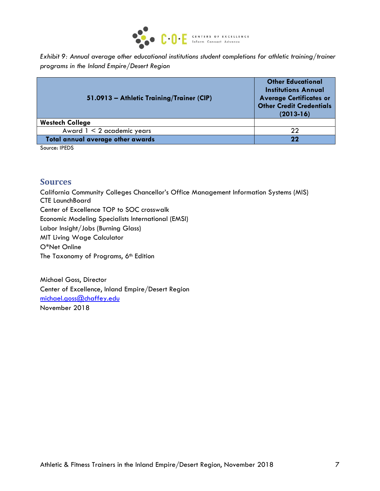

*Exhibit 9: Annual average other educational institutions student completions for athletic training/trainer programs in the Inland Empire/Desert Region*

| 51.0913 - Athletic Training/Trainer (CIP) | <b>Other Educational</b><br><b>Institutions Annual</b><br><b>Average Certificates or</b><br><b>Other Credit Credentials</b><br>$(2013-16)$ |  |
|-------------------------------------------|--------------------------------------------------------------------------------------------------------------------------------------------|--|
| <b>Westech College</b>                    |                                                                                                                                            |  |
| Award $1 < 2$ academic years              | 22                                                                                                                                         |  |
| Total annual average other awards         | 22                                                                                                                                         |  |

Source: IPEDS

#### **Sources**

California Community Colleges Chancellor's Office Management Information Systems (MIS) CTE LaunchBoard Center of Excellence TOP to SOC crosswalk Economic Modeling Specialists International (EMSI) Labor Insight/Jobs (Burning Glass) MIT Living Wage Calculator O\*Net Online The Taxonomy of Programs, 6<sup>th</sup> Edition

Michael Goss, Director Center of Excellence, Inland Empire/Desert Region [michael.goss@chaffey.edu](mailto:michael.goss@chaffey.edu) November 2018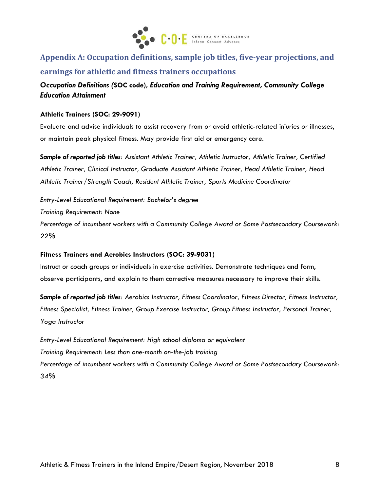

# **Appendix A: Occupation definitions, sample job titles, five-year projections, and earnings for athletic and fitness trainers occupations**

*Occupation Definitions (***SOC code),** *Education and Training Requirement, Community College Education Attainment*

#### **Athletic Trainers (SOC: 29-9091)**

Evaluate and advise individuals to assist recovery from or avoid athletic-related injuries or illnesses, or maintain peak physical fitness. May provide first aid or emergency care.

*Sample of reported job titles: Assistant Athletic Trainer, Athletic Instructor, Athletic Trainer, Certified Athletic Trainer, Clinical Instructor, Graduate Assistant Athletic Trainer, Head Athletic Trainer, Head Athletic Trainer/Strength Coach, Resident Athletic Trainer, Sports Medicine Coordinator*

*Entry-Level Educational Requirement: Bachelor's degree Training Requirement: None*

*Percentage of incumbent workers with a Community College Award or Some Postsecondary Coursework: 22%*

#### **Fitness Trainers and Aerobics Instructors (SOC: 39-9031)**

Instruct or coach groups or individuals in exercise activities. Demonstrate techniques and form, observe participants, and explain to them corrective measures necessary to improve their skills.

*Sample of reported job titles: Aerobics Instructor, Fitness Coordinator, Fitness Director, Fitness Instructor, Fitness Specialist, Fitness Trainer, Group Exercise Instructor, Group Fitness Instructor, Personal Trainer, Yoga Instructor*

*Entry-Level Educational Requirement: High school diploma or equivalent Training Requirement: Less than one-month on-the-job training Percentage of incumbent workers with a Community College Award or Some Postsecondary Coursework: 34%*